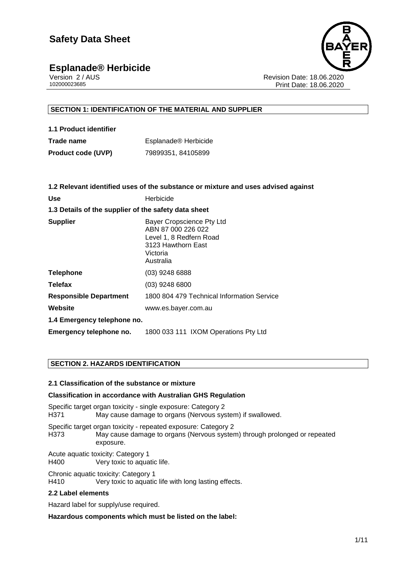# **Esplanade<sup>®</sup> Herbicide**<br>Version 2/AUS



Version 2 / AUS Revision Date: 18.06.2020 Print Date: 18.06.2020

## **SECTION 1: IDENTIFICATION OF THE MATERIAL AND SUPPLIER**

| 1.1 Product identifier    |                                  |
|---------------------------|----------------------------------|
| Trade name                | Esplanade <sup>®</sup> Herbicide |
| <b>Product code (UVP)</b> | 79899351, 84105899               |

|                                                      | 1.2 Relevant identified uses of the substance or mixture and uses advised against                                         |  |  |
|------------------------------------------------------|---------------------------------------------------------------------------------------------------------------------------|--|--|
| Use                                                  | Herbicide                                                                                                                 |  |  |
| 1.3 Details of the supplier of the safety data sheet |                                                                                                                           |  |  |
| <b>Supplier</b>                                      | Bayer Cropscience Pty Ltd<br>ABN 87 000 226 022<br>Level 1, 8 Redfern Road<br>3123 Hawthorn East<br>Victoria<br>Australia |  |  |
| <b>Telephone</b>                                     | $(03)$ 9248 6888                                                                                                          |  |  |
| <b>Telefax</b>                                       | $(03)$ 9248 6800                                                                                                          |  |  |
| <b>Responsible Department</b>                        | 1800 804 479 Technical Information Service                                                                                |  |  |
| Website                                              | www.es.bayer.com.au                                                                                                       |  |  |
| 1.4 Emergency telephone no.                          |                                                                                                                           |  |  |
| Emergency telephone no.                              | 1800 033 111 IXOM Operations Pty Ltd                                                                                      |  |  |

## **SECTION 2. HAZARDS IDENTIFICATION**

#### **2.1 Classification of the substance or mixture**

#### **Classification in accordance with Australian GHS Regulation**

Specific target organ toxicity - single exposure: Category 2 H371 May cause damage to organs (Nervous system) if swallowed. Specific target organ toxicity - repeated exposure: Category 2

H373 May cause damage to organs (Nervous system) through prolonged or repeated exposure.

Acute aquatic toxicity: Category 1 Very toxic to aquatic life.

Chronic aquatic toxicity: Category 1 H410 Very toxic to aquatic life with long lasting effects.

## **2.2 Label elements**

Hazard label for supply/use required.

**Hazardous components which must be listed on the label:**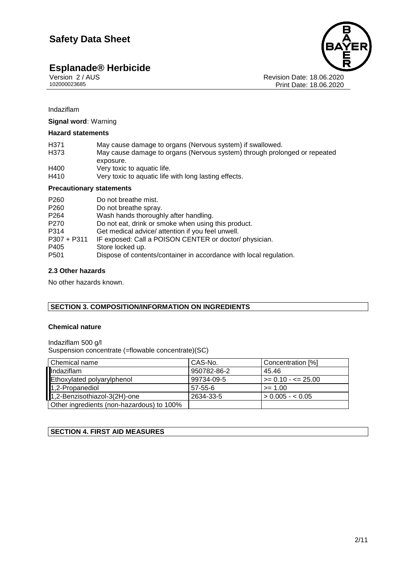# **Esplanade® Herbicide 2/11**



Version 2 / AUS Revision Date: 18.06.2020 102000023685<br>102000023685 Print Date: 18.06.2020

• Indaziflam

**Signal word:** Warning

## **Hazard statements**

| H371 | May cause damage to organs (Nervous system) if swallowed.                 |
|------|---------------------------------------------------------------------------|
| H373 | May cause damage to organs (Nervous system) through prolonged or repeated |
|      | exposure.                                                                 |
| H400 | Very toxic to aquatic life.                                               |
| H410 | Very toxic to aquatic life with long lasting effects.                     |

#### **Precautionary statements**

| Do not breathe mist.                                               |
|--------------------------------------------------------------------|
| Do not breathe spray.                                              |
| Wash hands thoroughly after handling.                              |
| Do not eat, drink or smoke when using this product.                |
| Get medical advice/ attention if you feel unwell.                  |
| IF exposed: Call a POISON CENTER or doctor/ physician.             |
| Store locked up.                                                   |
| Dispose of contents/container in accordance with local regulation. |
|                                                                    |

## **2.3 Other hazards**

No other hazards known.

## **SECTION 3. COMPOSITION/INFORMATION ON INGREDIENTS**

#### **Chemical nature**

Indaziflam 500 g/l Suspension concentrate (=flowable concentrate)(SC)

| Chemical name                             | CAS-No.       | Concentration [%]             |
|-------------------------------------------|---------------|-------------------------------|
| Indaziflam                                | 950782-86-2   | 45.46                         |
| Ethoxylated polyarylphenol                | 99734-09-5    | $\Rightarrow$ 0.10 - <= 25.00 |
| 1,2-Propanediol                           | $57 - 55 - 6$ | $>= 1.00$                     |
| 1,2-Benzisothiazol-3(2H)-one              | 2634-33-5     | $> 0.005 - 0.05$              |
| Other ingredients (non-hazardous) to 100% |               |                               |

## **SECTION 4. FIRST AID MEASURES**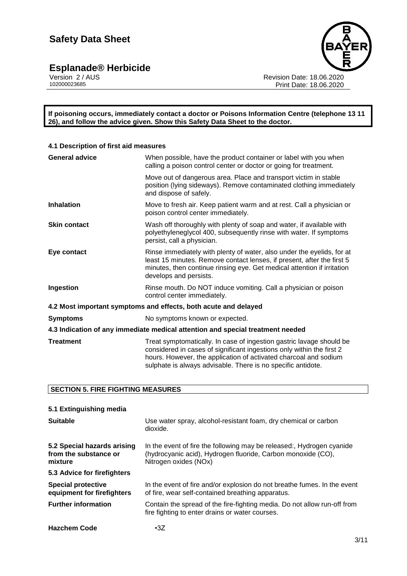# **Esplanade® Herbicide 3/11**



Version 2 / AUS Revision Date: 18.06.2020 102000023685 Print Date: 18.06.2020

**If poisoning occurs, immediately contact a doctor or Poisons Information Centre (telephone 13 11 26), and follow the advice given. Show this Safety Data Sheet to the doctor.**

| 4.1 Description of first aid measures                                          |                                                                                                                                                                                                                                                                                   |  |  |
|--------------------------------------------------------------------------------|-----------------------------------------------------------------------------------------------------------------------------------------------------------------------------------------------------------------------------------------------------------------------------------|--|--|
| <b>General advice</b>                                                          | When possible, have the product container or label with you when<br>calling a poison control center or doctor or going for treatment.                                                                                                                                             |  |  |
|                                                                                | Move out of dangerous area. Place and transport victim in stable<br>position (lying sideways). Remove contaminated clothing immediately<br>and dispose of safely.                                                                                                                 |  |  |
| <b>Inhalation</b>                                                              | Move to fresh air. Keep patient warm and at rest. Call a physician or<br>poison control center immediately.                                                                                                                                                                       |  |  |
| <b>Skin contact</b>                                                            | Wash off thoroughly with plenty of soap and water, if available with<br>polyethyleneglycol 400, subsequently rinse with water. If symptoms<br>persist, call a physician.                                                                                                          |  |  |
| Eye contact                                                                    | Rinse immediately with plenty of water, also under the eyelids, for at<br>least 15 minutes. Remove contact lenses, if present, after the first 5<br>minutes, then continue rinsing eye. Get medical attention if irritation<br>develops and persists.                             |  |  |
| Ingestion                                                                      | Rinse mouth. Do NOT induce vomiting. Call a physician or poison<br>control center immediately.                                                                                                                                                                                    |  |  |
|                                                                                | 4.2 Most important symptoms and effects, both acute and delayed                                                                                                                                                                                                                   |  |  |
| <b>Symptoms</b>                                                                | No symptoms known or expected.                                                                                                                                                                                                                                                    |  |  |
| 4.3 Indication of any immediate medical attention and special treatment needed |                                                                                                                                                                                                                                                                                   |  |  |
| <b>Treatment</b>                                                               | Treat symptomatically. In case of ingestion gastric lavage should be<br>considered in cases of significant ingestions only within the first 2<br>hours. However, the application of activated charcoal and sodium<br>sulphate is always advisable. There is no specific antidote. |  |  |

## **SECTION 5. FIRE FIGHTING MEASURES**

| 5.1 Extinguishing media                                         |                                                                                                                                                                |
|-----------------------------------------------------------------|----------------------------------------------------------------------------------------------------------------------------------------------------------------|
| <b>Suitable</b>                                                 | Use water spray, alcohol-resistant foam, dry chemical or carbon<br>dioxide.                                                                                    |
| 5.2 Special hazards arising<br>from the substance or<br>mixture | In the event of fire the following may be released:, Hydrogen cyanide<br>(hydrocyanic acid), Hydrogen fluoride, Carbon monoxide (CO),<br>Nitrogen oxides (NOx) |
| 5.3 Advice for firefighters                                     |                                                                                                                                                                |
| <b>Special protective</b><br>equipment for firefighters         | In the event of fire and/or explosion do not breathe fumes. In the event<br>of fire, wear self-contained breathing apparatus.                                  |
| <b>Further information</b>                                      | Contain the spread of the fire-fighting media. Do not allow run-off from<br>fire fighting to enter drains or water courses.                                    |
| <b>Hazchem Code</b>                                             | $\cdot$ 3Z                                                                                                                                                     |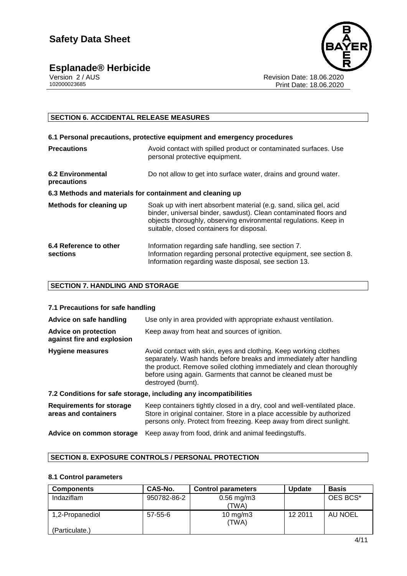# **Esplanade® Herbicide 4/11**





Version 2 / AUS Revision Date: 18.06.2020 102000023685 Print Date: 18.06.2020

## **SECTION 6. ACCIDENTAL RELEASE MEASURES**

## **6.1 Personal precautions, protective equipment and emergency procedures**

| <b>Precautions</b>                      | Avoid contact with spilled product or contaminated surfaces. Use<br>personal protective equipment.                                                                                                                                                       |
|-----------------------------------------|----------------------------------------------------------------------------------------------------------------------------------------------------------------------------------------------------------------------------------------------------------|
| <b>6.2 Environmental</b><br>precautions | Do not allow to get into surface water, drains and ground water.                                                                                                                                                                                         |
|                                         | 6.3 Methods and materials for containment and cleaning up                                                                                                                                                                                                |
| Methods for cleaning up                 | Soak up with inert absorbent material (e.g. sand, silica gel, acid<br>binder, universal binder, sawdust). Clean contaminated floors and<br>objects thoroughly, observing environmental regulations. Keep in<br>suitable, closed containers for disposal. |
| 6.4 Reference to other<br>sections      | Information regarding safe handling, see section 7.<br>Information regarding personal protective equipment, see section 8.<br>Information regarding waste disposal, see section 13.                                                                      |

## **SECTION 7. HANDLING AND STORAGE**

#### **7.1 Precautions for safe handling**

| Advice on safe handling                                   | Use only in area provided with appropriate exhaust ventilation.                                                                                                                                                                                                                                      |  |  |
|-----------------------------------------------------------|------------------------------------------------------------------------------------------------------------------------------------------------------------------------------------------------------------------------------------------------------------------------------------------------------|--|--|
| <b>Advice on protection</b><br>against fire and explosion | Keep away from heat and sources of ignition.                                                                                                                                                                                                                                                         |  |  |
| Hygiene measures                                          | Avoid contact with skin, eyes and clothing. Keep working clothes<br>separately. Wash hands before breaks and immediately after handling<br>the product. Remove soiled clothing immediately and clean thoroughly<br>before using again. Garments that cannot be cleaned must be<br>destroyed (burnt). |  |  |
|                                                           | 7.2 Conditions for safe storage, including any incompatibilities                                                                                                                                                                                                                                     |  |  |
| <b>Requirements for storage</b><br>areas and containers   | Keep containers tightly closed in a dry, cool and well-ventilated place.<br>Store in original container. Store in a place accessible by authorized<br>persons only. Protect from freezing. Keep away from direct sunlight.                                                                           |  |  |

## **Advice on common storage** Keep away from food, drink and animal feedingstuffs.

#### **SECTION 8. EXPOSURE CONTROLS / PERSONAL PROTECTION**

#### **8.1 Control parameters**

| <b>Components</b> | CAS-No.       | <b>Control parameters</b> | <b>Update</b> | <b>Basis</b> |
|-------------------|---------------|---------------------------|---------------|--------------|
| Indaziflam        | 950782-86-2   | $0.56 \,\mathrm{mg/m3}$   |               | OES BCS*     |
|                   |               | (TWA)                     |               |              |
| 1,2-Propanediol   | $57 - 55 - 6$ | $10 \text{ mg/m}$         | 12 2011       | AU NOEL      |
|                   |               | (TWA)                     |               |              |
| (Particulate.)    |               |                           |               |              |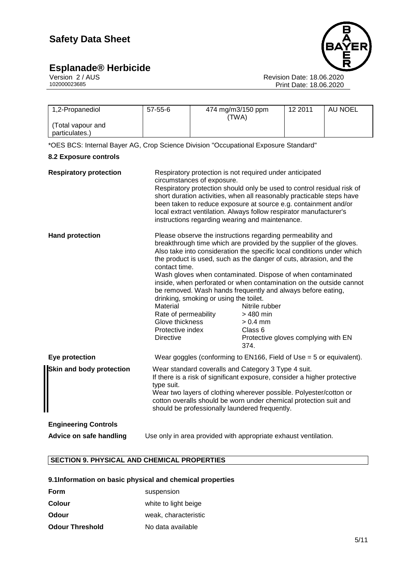# **Esplanade® Herbicide 5/11**



Version 2 / AUS Revision Date: 18.06.2020 102000023685 Print Date: 18.06.2020

| 1.2-Propanediol                     | $57 - 55 - 6$ | 474 mg/m3/150 ppm<br>'TWA) | 12 2011 | AU NOEL |
|-------------------------------------|---------------|----------------------------|---------|---------|
| (Total vapour and<br>particulates.) |               |                            |         |         |

\*OES BCS: Internal Bayer AG, Crop Science Division "Occupational Exposure Standard"

## **8.2 Exposure controls**

| <b>Respiratory protection</b> | Respiratory protection is not required under anticipated<br>circumstances of exposure.<br>Respiratory protection should only be used to control residual risk of<br>short duration activities, when all reasonably practicable steps have<br>been taken to reduce exposure at source e.g. containment and/or<br>local extract ventilation. Always follow respirator manufacturer's<br>instructions regarding wearing and maintenance. |                                                                                                                                                                                                                                                                                                                                                                                                                                                                                                                                                                                                          |  |
|-------------------------------|---------------------------------------------------------------------------------------------------------------------------------------------------------------------------------------------------------------------------------------------------------------------------------------------------------------------------------------------------------------------------------------------------------------------------------------|----------------------------------------------------------------------------------------------------------------------------------------------------------------------------------------------------------------------------------------------------------------------------------------------------------------------------------------------------------------------------------------------------------------------------------------------------------------------------------------------------------------------------------------------------------------------------------------------------------|--|
| <b>Hand protection</b>        | contact time.<br>drinking, smoking or using the toilet.<br>Material<br>Rate of permeability<br>Glove thickness<br>Protective index<br><b>Directive</b>                                                                                                                                                                                                                                                                                | Please observe the instructions regarding permeability and<br>breakthrough time which are provided by the supplier of the gloves.<br>Also take into consideration the specific local conditions under which<br>the product is used, such as the danger of cuts, abrasion, and the<br>Wash gloves when contaminated. Dispose of when contaminated<br>inside, when perforated or when contamination on the outside cannot<br>be removed. Wash hands frequently and always before eating,<br>Nitrile rubber<br>> 480 min<br>$> 0.4$ mm<br>Class <sub>6</sub><br>Protective gloves complying with EN<br>374. |  |
| Eye protection                | Wear goggles (conforming to EN166, Field of Use $=$ 5 or equivalent).                                                                                                                                                                                                                                                                                                                                                                 |                                                                                                                                                                                                                                                                                                                                                                                                                                                                                                                                                                                                          |  |
| Skin and body protection      | Wear standard coveralls and Category 3 Type 4 suit.<br>If there is a risk of significant exposure, consider a higher protective<br>type suit.<br>Wear two layers of clothing wherever possible. Polyester/cotton or<br>cotton overalls should be worn under chemical protection suit and<br>should be professionally laundered frequently.                                                                                            |                                                                                                                                                                                                                                                                                                                                                                                                                                                                                                                                                                                                          |  |
| <b>Engineering Controls</b>   |                                                                                                                                                                                                                                                                                                                                                                                                                                       |                                                                                                                                                                                                                                                                                                                                                                                                                                                                                                                                                                                                          |  |
| Advice on safe handling       |                                                                                                                                                                                                                                                                                                                                                                                                                                       | Use only in area provided with appropriate exhaust ventilation.                                                                                                                                                                                                                                                                                                                                                                                                                                                                                                                                          |  |

## **SECTION 9. PHYSICAL AND CHEMICAL PROPERTIES**

## **9.1Information on basic physical and chemical properties**

| <b>Form</b>            | suspension           |
|------------------------|----------------------|
| <b>Colour</b>          | white to light beige |
| Odour                  | weak, characteristic |
| <b>Odour Threshold</b> | No data available    |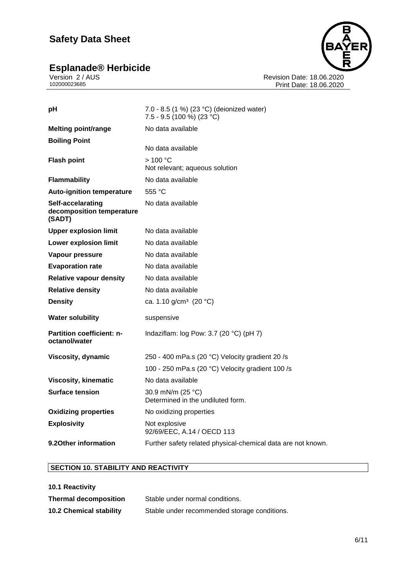# **Esplanade® Herbicide 6/11**

Version 2 / AUS Revision Date: 18.06.2020 102000023685 Print Date: 18.06.2020

| pH                                                       | 7.0 - 8.5 (1 %) (23 °C) (deionized water)<br>$7.5 - 9.5$ (100 %) (23 °C) |
|----------------------------------------------------------|--------------------------------------------------------------------------|
| <b>Melting point/range</b>                               | No data available                                                        |
| <b>Boiling Point</b>                                     | No data available                                                        |
| <b>Flash point</b>                                       | > 100 °C<br>Not relevant; aqueous solution                               |
| <b>Flammability</b>                                      | No data available                                                        |
| <b>Auto-ignition temperature</b>                         | 555 $^{\circ}$ C                                                         |
| Self-accelarating<br>decomposition temperature<br>(SADT) | No data available                                                        |
| <b>Upper explosion limit</b>                             | No data available                                                        |
| <b>Lower explosion limit</b>                             | No data available                                                        |
| Vapour pressure                                          | No data available                                                        |
| <b>Evaporation rate</b>                                  | No data available                                                        |
| <b>Relative vapour density</b>                           | No data available                                                        |
| <b>Relative density</b>                                  | No data available                                                        |
| <b>Density</b>                                           | ca. 1.10 g/cm <sup>3</sup> (20 °C)                                       |
| <b>Water solubility</b>                                  | suspensive                                                               |
| <b>Partition coefficient: n-</b><br>octanol/water        | Indaziflam: log Pow: 3.7 (20 $^{\circ}$ C) (pH 7)                        |
| Viscosity, dynamic                                       | 250 - 400 mPa.s (20 °C) Velocity gradient 20 /s                          |
|                                                          | 100 - 250 mPa.s (20 °C) Velocity gradient 100 /s                         |
| <b>Viscosity, kinematic</b>                              | No data available                                                        |
| <b>Surface tension</b>                                   | 30.9 mN/m (25 °C)<br>Determined in the undiluted form.                   |
| <b>Oxidizing properties</b>                              | No oxidizing properties                                                  |
| <b>Explosivity</b>                                       | Not explosive<br>92/69/EEC, A.14 / OECD 113                              |
| 9.20ther information                                     | Further safety related physical-chemical data are not known.             |

## **SECTION 10. STABILITY AND REACTIVITY**

| <b>10.1 Reactivity</b>         |                                              |
|--------------------------------|----------------------------------------------|
| <b>Thermal decomposition</b>   | Stable under normal conditions.              |
| <b>10.2 Chemical stability</b> | Stable under recommended storage conditions. |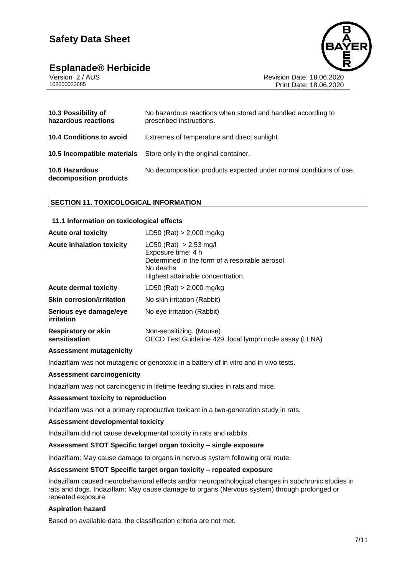# **Esplanade® Herbicide 7/11**



Version 2 / AUS Revision Date: 18.06.2020 Print Date: 18.06.2020

| 10.3 Possibility of<br>hazardous reactions      | No hazardous reactions when stored and handled according to<br>prescribed instructions. |
|-------------------------------------------------|-----------------------------------------------------------------------------------------|
| <b>10.4 Conditions to avoid</b>                 | Extremes of temperature and direct sunlight.                                            |
|                                                 | <b>10.5 Incompatible materials</b> Store only in the original container.                |
| <b>10.6 Hazardous</b><br>decomposition products | No decomposition products expected under normal conditions of use.                      |

## **SECTION 11. TOXICOLOGICAL INFORMATION**

#### **11.1 Information on toxicological effects**

| <b>Acute oral toxicity</b>                  | $LD50$ (Rat) > 2,000 mg/kg                                                                                                                          |
|---------------------------------------------|-----------------------------------------------------------------------------------------------------------------------------------------------------|
| <b>Acute inhalation toxicity</b>            | $LC50$ (Rat) > 2.53 mg/l<br>Exposure time: 4 h<br>Determined in the form of a respirable aerosol.<br>No deaths<br>Highest attainable concentration. |
| <b>Acute dermal toxicity</b>                | $LD50$ (Rat) $> 2,000$ mg/kg                                                                                                                        |
| <b>Skin corrosion/irritation</b>            | No skin irritation (Rabbit)                                                                                                                         |
| Serious eye damage/eye<br>irritation        | No eye irritation (Rabbit)                                                                                                                          |
| <b>Respiratory or skin</b><br>sensitisation | Non-sensitizing. (Mouse)<br>OECD Test Guideline 429, local lymph node assay (LLNA)                                                                  |

#### **Assessment mutagenicity**

Indaziflam was not mutagenic or genotoxic in a battery of in vitro and in vivo tests.

#### **Assessment carcinogenicity**

Indaziflam was not carcinogenic in lifetime feeding studies in rats and mice.

#### **Assessment toxicity to reproduction**

Indaziflam was not a primary reproductive toxicant in a two-generation study in rats.

#### **Assessment developmental toxicity**

Indaziflam did not cause developmental toxicity in rats and rabbits.

#### **Assessment STOT Specific target organ toxicity – single exposure**

Indaziflam: May cause damage to organs in nervous system following oral route.

#### **Assessment STOT Specific target organ toxicity – repeated exposure**

Indaziflam caused neurobehavioral effects and/or neuropathological changes in subchronic studies in rats and dogs. Indaziflam: May cause damage to organs (Nervous system) through prolonged or repeated exposure.

#### **Aspiration hazard**

Based on available data, the classification criteria are not met.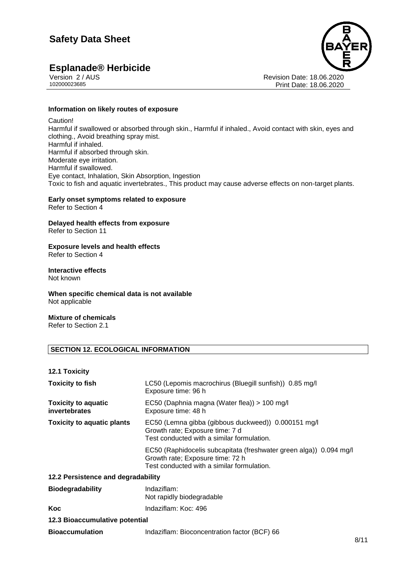# **Esplanade<sup>®</sup> Herbicide**<br>Version 2/AUS



Version 2 / AUS Revision Date: 18.06.2020 Print Date: 18.06.2020

#### **Information on likely routes of exposure**

Caution! Harmful if swallowed or absorbed through skin., Harmful if inhaled., Avoid contact with skin, eyes and clothing., Avoid breathing spray mist. Harmful if inhaled. Harmful if absorbed through skin. Moderate eye irritation. Harmful if swallowed. Eye contact, Inhalation, Skin Absorption, Ingestion Toxic to fish and aquatic invertebrates., This product may cause adverse effects on non-target plants.

#### **Early onset symptoms related to exposure** Refer to Section 4

**Delayed health effects from exposure** Refer to Section 11

# **Exposure levels and health effects**

Refer to Section 4

# **Interactive effects**

Not known

#### **When specific chemical data is not available** Not applicable

**Mixture of chemicals**

Refer to Section 2.1

## **SECTION 12. ECOLOGICAL INFORMATION**

## **12.1 Toxicity**

| <b>Toxicity to fish</b>                     | LC50 (Lepomis macrochirus (Bluegill sunfish)) 0.85 mg/l<br>Exposure time: 96 h                                                                       |
|---------------------------------------------|------------------------------------------------------------------------------------------------------------------------------------------------------|
| <b>Toxicity to aquatic</b><br>invertebrates | EC50 (Daphnia magna (Water flea)) > 100 mg/l<br>Exposure time: 48 h                                                                                  |
| <b>Toxicity to aquatic plants</b>           | EC50 (Lemna gibba (gibbous duckweed)) 0.000151 mg/l<br>Growth rate; Exposure time: 7 d<br>Test conducted with a similar formulation.                 |
|                                             | EC50 (Raphidocelis subcapitata (freshwater green alga)) 0.094 mg/l<br>Growth rate; Exposure time: 72 h<br>Test conducted with a similar formulation. |
| 12.2 Persistence and degradability          |                                                                                                                                                      |
| <b>Biodegradability</b>                     | Indaziflam:<br>Not rapidly biodegradable                                                                                                             |
| Koc                                         | Indaziflam: Koc: 496                                                                                                                                 |
| 12.3 Bioaccumulative potential              |                                                                                                                                                      |
| <b>Bioaccumulation</b>                      | Indaziflam: Bioconcentration factor (BCF) 66                                                                                                         |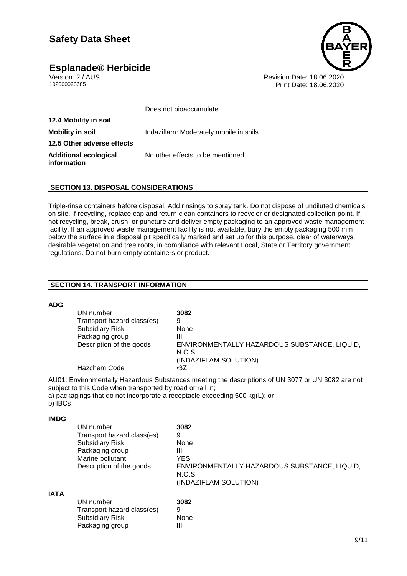# **Esplanade<sup>®</sup> Herbicide**



Version 2 / AUS Revision Date: 18.06.2020 Print Date: 18.06.2020

|                                             | Does not bioaccumulate.                |
|---------------------------------------------|----------------------------------------|
| 12.4 Mobility in soil                       |                                        |
| <b>Mobility in soil</b>                     | Indaziflam: Moderately mobile in soils |
| 12.5 Other adverse effects                  |                                        |
| <b>Additional ecological</b><br>information | No other effects to be mentioned.      |

#### **SECTION 13. DISPOSAL CONSIDERATIONS**

Triple-rinse containers before disposal. Add rinsings to spray tank. Do not dispose of undiluted chemicals on site. If recycling, replace cap and return clean containers to recycler or designated collection point. If not recycling, break, crush, or puncture and deliver empty packaging to an approved waste management facility. If an approved waste management facility is not available, bury the empty packaging 500 mm below the surface in a disposal pit specifically marked and set up for this purpose, clear of waterways, desirable vegetation and tree roots, in compliance with relevant Local, State or Territory government regulations. Do not burn empty containers or product.

## **SECTION 14. TRANSPORT INFORMATION**

#### **ADG**

| UN number                  | 3082                                         |
|----------------------------|----------------------------------------------|
| Transport hazard class(es) | 9                                            |
| <b>Subsidiary Risk</b>     | None                                         |
| Packaging group            | Ш                                            |
| Description of the goods   | ENVIRONMENTALLY HAZARDOUS SUBSTANCE, LIQUID, |
|                            | N.O.S.                                       |
|                            | (INDAZIFLAM SOLUTION)                        |
| Hazchem Code               | $\cdot 37$                                   |

AU01: Environmentally Hazardous Substances meeting the descriptions of UN 3077 or UN 3082 are not subject to this Code when transported by road or rail in;

a) packagings that do not incorporate a receptacle exceeding 500 kg(L); or

b) IBCs

#### **IMDG**

| .           |                            |                                              |
|-------------|----------------------------|----------------------------------------------|
|             | UN number                  | 3082                                         |
|             | Transport hazard class(es) | 9                                            |
|             | <b>Subsidiary Risk</b>     | None                                         |
|             | Packaging group            | Ш                                            |
|             | Marine pollutant           | <b>YES</b>                                   |
|             | Description of the goods   | ENVIRONMENTALLY HAZARDOUS SUBSTANCE, LIQUID, |
|             |                            | N.O.S.                                       |
|             |                            | (INDAZIFLAM SOLUTION)                        |
| <b>IATA</b> |                            |                                              |
|             | UN number                  | 3082                                         |
|             | Transport hazard class(es) | 9                                            |
|             | <b>Subsidiary Risk</b>     | None                                         |
|             | Packaging group            | Ш                                            |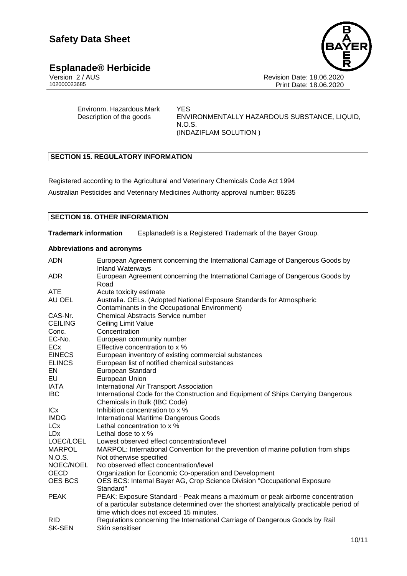# **Esplanade® Herbicide**<br>Version 2/AUS



Version 2 / AUS Revision Date: 18.06.2020 Print Date: 18.06.2020

Environm. Hazardous Mark YES<br>Description of the goods ENV

ENVIRONMENTALLY HAZARDOUS SUBSTANCE, LIQUID, N.O.S. (INDAZIFLAM SOLUTION )

## **SECTION 15. REGULATORY INFORMATION**

Registered according to the Agricultural and Veterinary Chemicals Code Act 1994 Australian Pesticides and Veterinary Medicines Authority approval number: 86235

#### **SECTION 16. OTHER INFORMATION**

**Trademark information** Esplanade® is a Registered Trademark of the Bayer Group.

#### **Abbreviations and acronyms**

| <b>ADN</b>     | European Agreement concerning the International Carriage of Dangerous Goods by<br><b>Inland Waterways</b>                           |
|----------------|-------------------------------------------------------------------------------------------------------------------------------------|
| ADR.           | European Agreement concerning the International Carriage of Dangerous Goods by<br>Road                                              |
| <b>ATE</b>     | Acute toxicity estimate                                                                                                             |
| AU OEL         | Australia. OELs. (Adopted National Exposure Standards for Atmospheric<br>Contaminants in the Occupational Environment)              |
| CAS-Nr.        | <b>Chemical Abstracts Service number</b>                                                                                            |
| <b>CEILING</b> | Ceiling Limit Value                                                                                                                 |
| Conc.          | Concentration                                                                                                                       |
| EC-No.         | European community number                                                                                                           |
| <b>ECx</b>     | Effective concentration to x %                                                                                                      |
| <b>EINECS</b>  | European inventory of existing commercial substances                                                                                |
| <b>ELINCS</b>  | European list of notified chemical substances                                                                                       |
| EN             | European Standard                                                                                                                   |
| EU             | European Union                                                                                                                      |
| <b>IATA</b>    | International Air Transport Association                                                                                             |
| <b>IBC</b>     | International Code for the Construction and Equipment of Ships Carrying Dangerous<br>Chemicals in Bulk (IBC Code)                   |
| ICx            | Inhibition concentration to x %                                                                                                     |
| <b>IMDG</b>    | International Maritime Dangerous Goods                                                                                              |
| <b>LCx</b>     | Lethal concentration to x %                                                                                                         |
| <b>LDx</b>     | Lethal dose to x %                                                                                                                  |
| LOEC/LOEL      | Lowest observed effect concentration/level                                                                                          |
| <b>MARPOL</b>  | MARPOL: International Convention for the prevention of marine pollution from ships                                                  |
| N.O.S.         | Not otherwise specified                                                                                                             |
| NOEC/NOEL      | No observed effect concentration/level                                                                                              |
| OECD           | Organization for Economic Co-operation and Development                                                                              |
| <b>OES BCS</b> | OES BCS: Internal Bayer AG, Crop Science Division "Occupational Exposure<br>Standard"                                               |
| <b>PEAK</b>    | PEAK: Exposure Standard - Peak means a maximum or peak airborne concentration                                                       |
|                | of a particular substance determined over the shortest analytically practicable period of<br>time which does not exceed 15 minutes. |
| <b>RID</b>     | Regulations concerning the International Carriage of Dangerous Goods by Rail                                                        |
| <b>SK-SEN</b>  | Skin sensitiser                                                                                                                     |